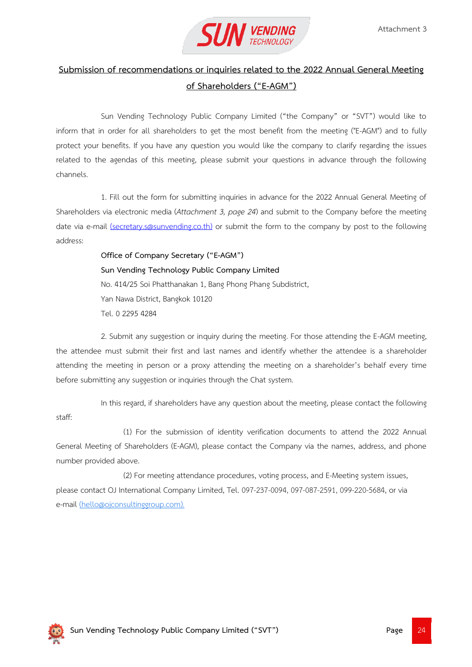

## **Submission of recommendations or inquiries related to the 2022 Annual General Meeting of Shareholders ("E-AGM")**

Sun Vending Technology Public Company Limited ("the Company" or "SVT") would like to inform that in order for all shareholders to get the most benefit from the meeting ("E-AGM") and to fully protect your benefits. If you have any question you would like the company to clarify regarding the issues related to the agendas of this meeting, please submit your questions in advance through the following channels.

1. Fill out the form for submitting inquiries in advance for the 2022 Annual General Meeting of Shareholders via electronic media (*Attachment 3, page 24*) and submit to the Company before the meeting date via e-mail [\(secretary.s@sunvending.co.th\)](mailto:secretary.s@sunvending.co.th) or submit the form to the company by post to the following address:

> **Office of Company Secretary ("E-AGM") Sun Vending Technology Public Company Limited** No. 414/25 Soi Phatthanakan 1, Bang Phong Phang Subdistrict, Yan Nawa District, Bangkok 10120 Tel. 0 2295 4284

2. Submit any suggestion or inquiry during the meeting. For those attending the E-AGM meeting, the attendee must submit their first and last names and identify whether the attendee is a shareholder attending the meeting in person or a proxy attending the meeting on a shareholder's behalf every time before submitting any suggestion or inquiries through the Chat system.

In this regard, if shareholders have any question about the meeting, please contact the following staff:

(1) For the submission of identity verification documents to attend the 2022 Annual General Meeting of Shareholders (E-AGM), please contact the Company via the names, address, and phone number provided above.

(2) For meeting attendance procedures, voting process, and E-Meeting system issues, please contact OJ International Company Limited, Tel. 097-237-0094, 097-087-2591, 099-220-5684, or via e-mail [\(hello@ojconsultinggroup.com\).](mailto:hello@ojconsultinggroup.com)